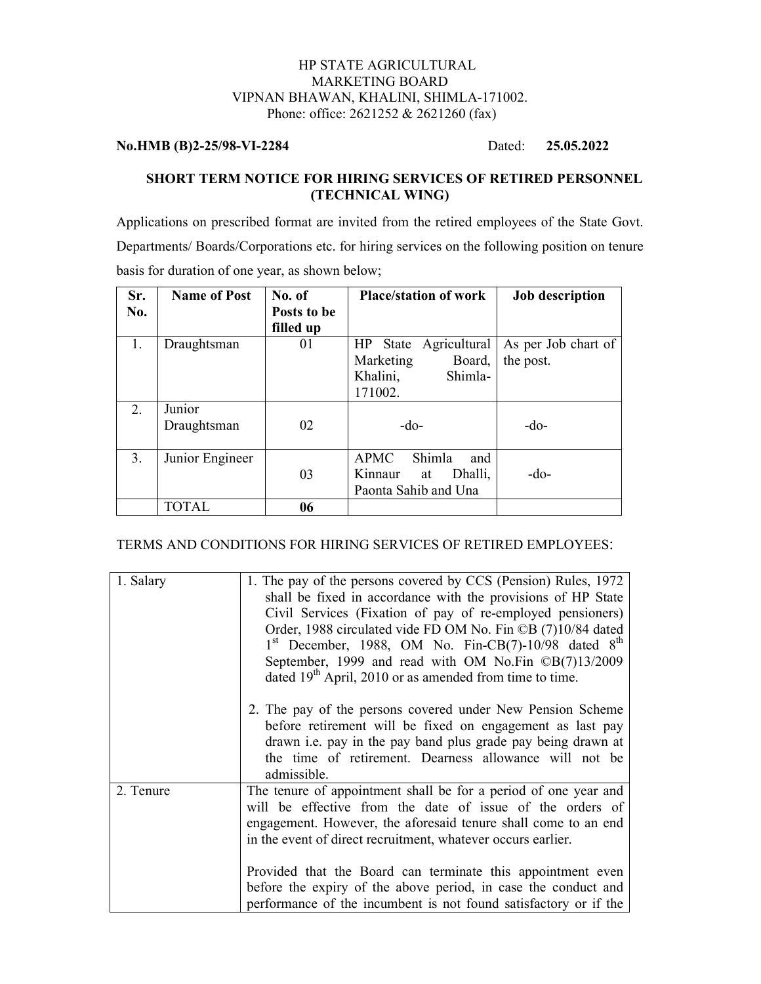## HP STATE AGRICULTURAL MARKETING BOARD VIPNAN BHAWAN, KHALINI, SHIMLA-171002. Phone: office: 2621252 & 2621260 (fax)

### **No.HMB (B)2-25/98-VI-2284** Dated: **25.05.2022**

## **SHORT TERM NOTICE FOR HIRING SERVICES OF RETIRED PERSONNEL (TECHNICAL WING)**

Applications on prescribed format are invited from the retired employees of the State Govt. Departments/ Boards/Corporations etc. for hiring services on the following position on tenure basis for duration of one year, as shown below;

| Sr.            | <b>Name of Post</b> | No. of      | <b>Place/station of work</b> | <b>Job description</b> |
|----------------|---------------------|-------------|------------------------------|------------------------|
| No.            |                     | Posts to be |                              |                        |
|                |                     | filled up   |                              |                        |
| 1.             | Draughtsman         | 01          | Agricultural<br>HP State     | As per Job chart of    |
|                |                     |             | Marketing<br>Board,          | the post.              |
|                |                     |             | Khalini,<br>Shimla-          |                        |
|                |                     |             | 171002.                      |                        |
| 2.             | Junior              |             |                              |                        |
|                | Draughtsman         | 02          | $-do-$                       | $-do-$                 |
|                |                     |             |                              |                        |
| 3 <sub>1</sub> | Junior Engineer     |             | Shimla<br><b>APMC</b><br>and |                        |
|                |                     | 03          | Dhalli,<br>Kinnaur<br>at     | $-do-$                 |
|                |                     |             | Paonta Sahib and Una         |                        |
|                | <b>TOTAL</b>        | 06          |                              |                        |

### TERMS AND CONDITIONS FOR HIRING SERVICES OF RETIRED EMPLOYEES:

| 1. Salary | 1. The pay of the persons covered by CCS (Pension) Rules, 1972<br>shall be fixed in accordance with the provisions of HP State<br>Civil Services (Fixation of pay of re-employed pensioners)<br>Order, 1988 circulated vide FD OM No. Fin ©B (7)10/84 dated<br>$1st$ December, 1988, OM No. Fin-CB(7)-10/98 dated $8th$<br>September, 1999 and read with OM No.Fin ©B(7)13/2009<br>dated $19th$ April, 2010 or as amended from time to time.                        |
|-----------|---------------------------------------------------------------------------------------------------------------------------------------------------------------------------------------------------------------------------------------------------------------------------------------------------------------------------------------------------------------------------------------------------------------------------------------------------------------------|
|           | 2. The pay of the persons covered under New Pension Scheme<br>before retirement will be fixed on engagement as last pay<br>drawn <i>i.e.</i> pay in the pay band plus grade pay being drawn at<br>the time of retirement. Dearness allowance will not be<br>admissible.                                                                                                                                                                                             |
| 2. Tenure | The tenure of appointment shall be for a period of one year and<br>will be effective from the date of issue of the orders of<br>engagement. However, the aforesaid tenure shall come to an end<br>in the event of direct recruitment, whatever occurs earlier.<br>Provided that the Board can terminate this appointment even<br>before the expiry of the above period, in case the conduct and<br>performance of the incumbent is not found satisfactory or if the |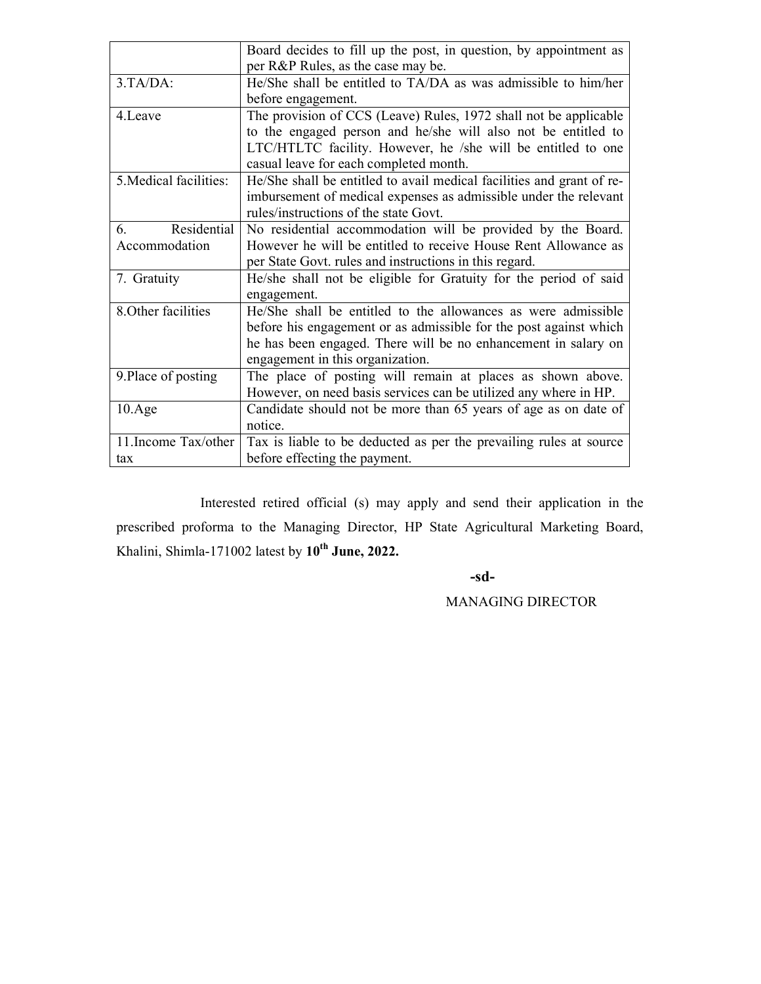|                        | Board decides to fill up the post, in question, by appointment as     |  |
|------------------------|-----------------------------------------------------------------------|--|
|                        | per R&P Rules, as the case may be.                                    |  |
| $3.TA/DA$ :            | He/She shall be entitled to TA/DA as was admissible to him/her        |  |
|                        | before engagement.                                                    |  |
| 4.Leave                | The provision of CCS (Leave) Rules, 1972 shall not be applicable      |  |
|                        | to the engaged person and he/she will also not be entitled to         |  |
|                        | LTC/HTLTC facility. However, he /she will be entitled to one          |  |
|                        | casual leave for each completed month.                                |  |
| 5. Medical facilities: | He/She shall be entitled to avail medical facilities and grant of re- |  |
|                        | imbursement of medical expenses as admissible under the relevant      |  |
|                        | rules/instructions of the state Govt.                                 |  |
| Residential<br>6       | No residential accommodation will be provided by the Board.           |  |
| Accommodation          | However he will be entitled to receive House Rent Allowance as        |  |
|                        | per State Govt. rules and instructions in this regard.                |  |
| 7. Gratuity            | He/she shall not be eligible for Gratuity for the period of said      |  |
|                        | engagement.                                                           |  |
| 8. Other facilities    | He/She shall be entitled to the allowances as were admissible         |  |
|                        | before his engagement or as admissible for the post against which     |  |
|                        | he has been engaged. There will be no enhancement in salary on        |  |
|                        | engagement in this organization.                                      |  |
| 9. Place of posting    | The place of posting will remain at places as shown above.            |  |
|                        | However, on need basis services can be utilized any where in HP.      |  |
| 10.Age                 | Candidate should not be more than 65 years of age as on date of       |  |
|                        | notice.                                                               |  |
| 11. Income Tax/other   | Tax is liable to be deducted as per the prevailing rules at source    |  |
| tax                    | before effecting the payment.                                         |  |

 Interested retired official (s) may apply and send their application in the prescribed proforma to the Managing Director, HP State Agricultural Marketing Board, Khalini, Shimla-171002 latest by **10th June, 2022.** 

#### **-sd-**

## MANAGING DIRECTOR